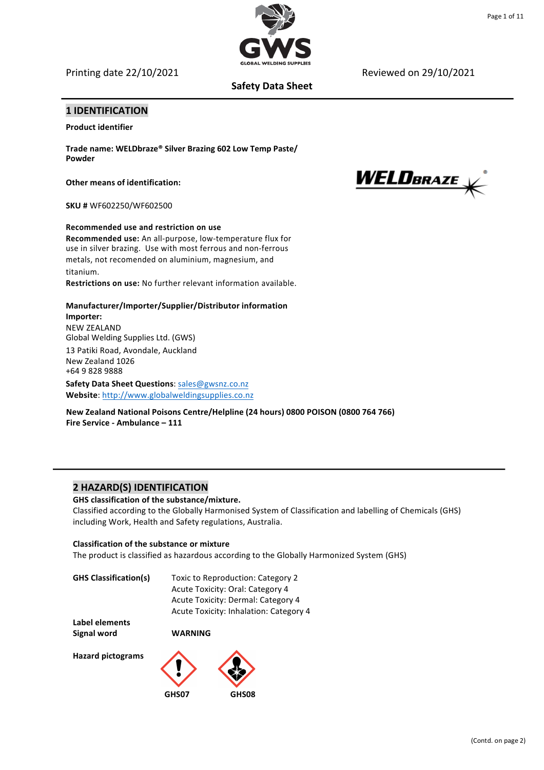Printing date 22/10/2021 **Reviewed** on 29/10/2021

# **Safety Data Sheet**

# **1 IDENTIFICATION**

**Product identifier** 

**Trade name: WELDbraze® Silver Brazing 602 Low Temp Paste/ Powder**

**Other means of identification:** 

**SKU #** WF602250/WF602500

**Recommended use and restriction on use Recommended use:** An all-purpose, low-temperature flux for use in silver brazing. Use with most ferrous and non-ferrous metals, not recomended on aluminium, magnesium, and titanium.

**Restrictions on use:** No further relevant information available. 

**Manufacturer/Importer/Supplier/Distributor information Importer:**  NEW ZEALAND Global Welding Supplies Ltd. (GWS) 13 Patiki Road, Avondale, Auckland New Zealand 1026 +64 9 828 9888 **Safety Data Sheet Questions**: sales@gwsnz.co.nz

Website: http://www.globalweldingsupplies.co.nz

**New Zealand National Poisons Centre/Helpline (24 hours) 0800 POISON (0800 764 766) Fire Service - Ambulance - 111** 

# **2 HAZARD(S) IDENTIFICATION**

GHS classification of the substance/mixture. Classified according to the Globally Harmonised System of Classification and labelling of Chemicals (GHS) including Work, Health and Safety regulations, Australia.

## **Classification of the substance or mixture**

The product is classified as hazardous according to the Globally Harmonized System (GHS)

| <b>GHS Classification(s)</b> | Toxic to Reproduction: Category 2      |
|------------------------------|----------------------------------------|
|                              | Acute Toxicity: Oral: Category 4       |
|                              | Acute Toxicity: Dermal: Category 4     |
|                              | Acute Toxicity: Inhalation: Category 4 |
| Label elements               |                                        |

Signal word **WARNING** 

**Hazard pictograms** 



WELDBRAZE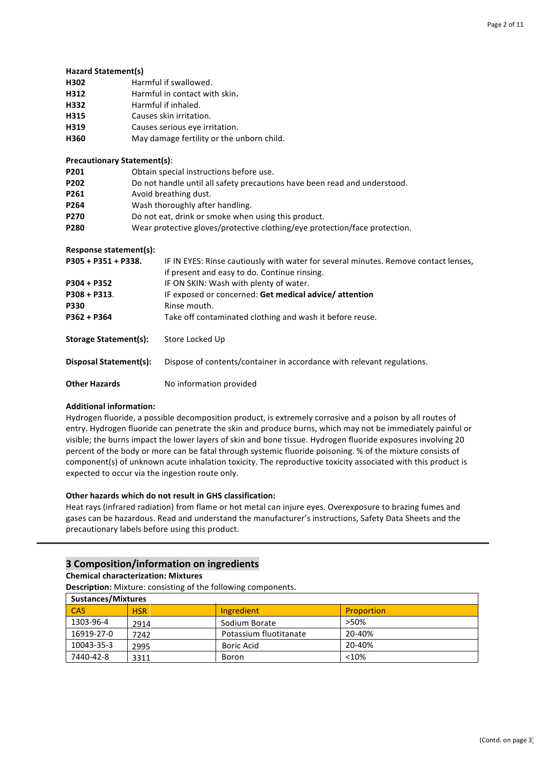#### **Hazard Statement(s)**

- **H302** Harmful if swallowed.
- **H312** Harmful in contact with skin.
- **H332** Harmful if inhaled.
- H315 Causes skin irritation.
- **H319** Causes serious eye irritation.
- **H360** May damage fertility or the unborn child.

#### **Precautionary Statement(s)**:

| P <sub>201</sub> | Obtain special instructions before use.                                    |
|------------------|----------------------------------------------------------------------------|
| P <sub>202</sub> | Do not handle until all safety precautions have been read and understood.  |
| P <sub>261</sub> | Avoid breathing dust.                                                      |
| P <sub>264</sub> | Wash thoroughly after handling.                                            |
| <b>P270</b>      | Do not eat, drink or smoke when using this product.                        |
| P280             | Wear protective gloves/protective clothing/eye protection/face protection. |

#### **Response statement(s):**

| $P305 + P351 + P338.$  | IF IN EYES: Rinse cautiously with water for several minutes. Remove contact lenses,<br>if present and easy to do. Continue rinsing. |  |  |
|------------------------|-------------------------------------------------------------------------------------------------------------------------------------|--|--|
| $P304 + P352$          | IF ON SKIN: Wash with plenty of water.                                                                                              |  |  |
| $P308 + P313.$         | IF exposed or concerned: Get medical advice/attention                                                                               |  |  |
| <b>P330</b>            | Rinse mouth.                                                                                                                        |  |  |
| P362 + P364            | Take off contaminated clothing and wash it before reuse.                                                                            |  |  |
| Storage Statement(s):  | Store Locked Up                                                                                                                     |  |  |
| Disposal Statement(s): | Dispose of contents/container in accordance with relevant regulations.                                                              |  |  |
| <b>Other Hazards</b>   | No information provided                                                                                                             |  |  |

## **Additional information:**

Hydrogen fluoride, a possible decomposition product, is extremely corrosive and a poison by all routes of entry. Hydrogen fluoride can penetrate the skin and produce burns, which may not be immediately painful or visible; the burns impact the lower layers of skin and bone tissue. Hydrogen fluoride exposures involving 20 percent of the body or more can be fatal through systemic fluoride poisoning. % of the mixture consists of component(s) of unknown acute inhalation toxicity. The reproductive toxicity associated with this product is expected to occur via the ingestion route only.

## **Other hazards which do not result in GHS classification:**

Heat rays (infrared radiation) from flame or hot metal can injure eyes. Overexposure to brazing fumes and gases can be hazardous. Read and understand the manufacturer's instructions, Safety Data Sheets and the precautionary labels before using this product.

## **3 Composition/information on ingredients**

## **Chemical characterization: Mixtures**

**Description:** Mixture: consisting of the following components.

| <b>Sustances/Mixtures</b> |            |                        |                   |
|---------------------------|------------|------------------------|-------------------|
| <b>CAS</b>                | <b>HSR</b> | Ingredient             | <b>Proportion</b> |
| 1303-96-4                 | 2914       | Sodium Borate          | >50%              |
| 16919-27-0                | 7242       | Potassium fluotitanate | 20-40%            |
| 10043-35-3                | 2995       | <b>Boric Acid</b>      | 20-40%            |
| 7440-42-8                 | 3311       | Boron                  | < 10%             |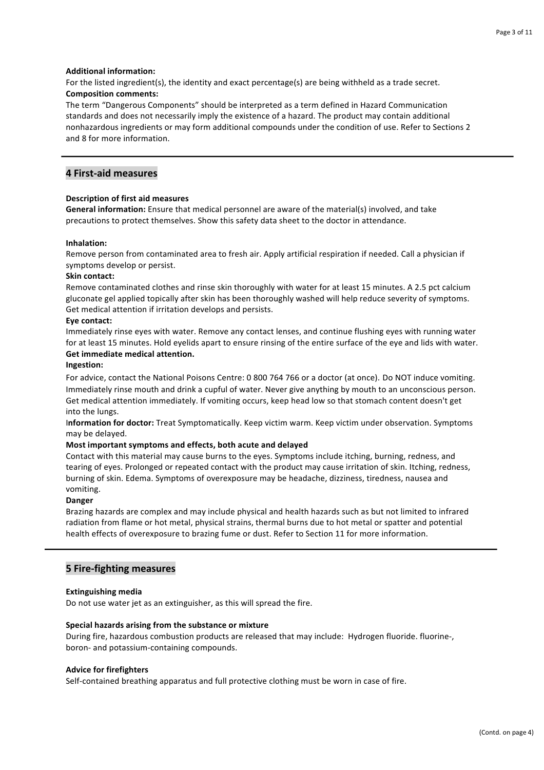## **Additional information:**

For the listed ingredient(s), the identity and exact percentage(s) are being withheld as a trade secret. **Composition comments:**

The term "Dangerous Components" should be interpreted as a term defined in Hazard Communication standards and does not necessarily imply the existence of a hazard. The product may contain additional nonhazardous ingredients or may form additional compounds under the condition of use. Refer to Sections 2 and 8 for more information.

# **4 First-aid measures**

## **Description of first aid measures**

**General information:** Ensure that medical personnel are aware of the material(s) involved, and take precautions to protect themselves. Show this safety data sheet to the doctor in attendance.

## **Inhalation:**

Remove person from contaminated area to fresh air. Apply artificial respiration if needed. Call a physician if symptoms develop or persist.

## **Skin contact:**

Remove contaminated clothes and rinse skin thoroughly with water for at least 15 minutes. A 2.5 pct calcium gluconate gel applied topically after skin has been thoroughly washed will help reduce severity of symptoms. Get medical attention if irritation develops and persists.

## **Eye contact:**

Immediately rinse eyes with water. Remove any contact lenses, and continue flushing eyes with running water for at least 15 minutes. Hold eyelids apart to ensure rinsing of the entire surface of the eye and lids with water. **Get immediate medical attention.**

## **Ingestion:**

For advice, contact the National Poisons Centre: 0 800 764 766 or a doctor (at once). Do NOT induce vomiting. Immediately rinse mouth and drink a cupful of water. Never give anything by mouth to an unconscious person. Get medical attention immediately. If vomiting occurs, keep head low so that stomach content doesn't get into the lungs. 

I**nformation for doctor:** Treat Symptomatically. Keep victim warm. Keep victim under observation. Symptoms may be delayed. 

## **Most important symptoms and effects, both acute and delayed**

Contact with this material may cause burns to the eyes. Symptoms include itching, burning, redness, and tearing of eyes. Prolonged or repeated contact with the product may cause irritation of skin. Itching, redness, burning of skin. Edema. Symptoms of overexposure may be headache, dizziness, tiredness, nausea and vomiting. 

#### **Danger**

Brazing hazards are complex and may include physical and health hazards such as but not limited to infrared radiation from flame or hot metal, physical strains, thermal burns due to hot metal or spatter and potential health effects of overexposure to brazing fume or dust. Refer to Section 11 for more information.

# **5 Fire-fighting measures**

#### **Extinguishing media**

Do not use water jet as an extinguisher, as this will spread the fire.

#### Special hazards arising from the substance or mixture

During fire, hazardous combustion products are released that may include: Hydrogen fluoride, fluorine-, boron- and potassium-containing compounds.

#### **Advice for firefighters**

Self-contained breathing apparatus and full protective clothing must be worn in case of fire.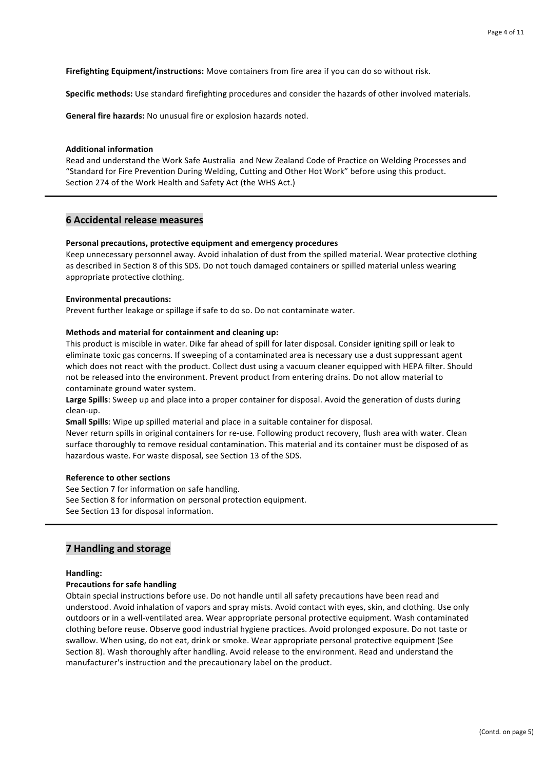**Firefighting Equipment/instructions:** Move containers from fire area if you can do so without risk.

Specific methods: Use standard firefighting procedures and consider the hazards of other involved materials.

**General fire hazards:** No unusual fire or explosion hazards noted.

#### **Additional information**

Read and understand the Work Safe Australia and New Zealand Code of Practice on Welding Processes and "Standard for Fire Prevention During Welding, Cutting and Other Hot Work" before using this product. Section 274 of the Work Health and Safety Act (the WHS Act.)

## **6 Accidental release measures**

## Personal precautions, protective equipment and emergency procedures

Keep unnecessary personnel away. Avoid inhalation of dust from the spilled material. Wear protective clothing as described in Section 8 of this SDS. Do not touch damaged containers or spilled material unless wearing appropriate protective clothing.

## **Environmental precautions:**

Prevent further leakage or spillage if safe to do so. Do not contaminate water.

## **Methods and material for containment and cleaning up:**

This product is miscible in water. Dike far ahead of spill for later disposal. Consider igniting spill or leak to eliminate toxic gas concerns. If sweeping of a contaminated area is necessary use a dust suppressant agent which does not react with the product. Collect dust using a vacuum cleaner equipped with HEPA filter. Should not be released into the environment. Prevent product from entering drains. Do not allow material to contaminate ground water system.

Large Spills: Sweep up and place into a proper container for disposal. Avoid the generation of dusts during clean-up.

**Small Spills**: Wipe up spilled material and place in a suitable container for disposal.

Never return spills in original containers for re-use. Following product recovery, flush area with water. Clean surface thoroughly to remove residual contamination. This material and its container must be disposed of as hazardous waste. For waste disposal, see Section 13 of the SDS.

#### **Reference to other sections**

See Section 7 for information on safe handling. See Section 8 for information on personal protection equipment. See Section 13 for disposal information.

# **7 Handling and storage**

#### **Handling:**

## **Precautions for safe handling**

Obtain special instructions before use. Do not handle until all safety precautions have been read and understood. Avoid inhalation of vapors and spray mists. Avoid contact with eyes, skin, and clothing. Use only outdoors or in a well-ventilated area. Wear appropriate personal protective equipment. Wash contaminated clothing before reuse. Observe good industrial hygiene practices. Avoid prolonged exposure. Do not taste or swallow. When using, do not eat, drink or smoke. Wear appropriate personal protective equipment (See Section 8). Wash thoroughly after handling. Avoid release to the environment. Read and understand the manufacturer's instruction and the precautionary label on the product.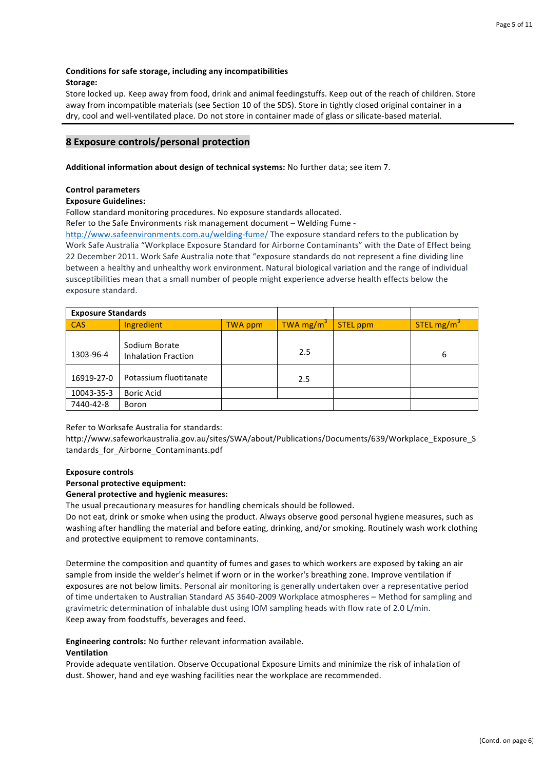## Conditions for safe storage, including any incompatibilities **Storage:**

Store locked up. Keep away from food, drink and animal feedingstuffs. Keep out of the reach of children. Store away from incompatible materials (see Section 10 of the SDS). Store in tightly closed original container in a dry, cool and well-ventilated place. Do not store in container made of glass or silicate-based material.

# **8 Exposure controls/personal protection**

## Additional information about design of technical systems: No further data; see item 7.

## **Control parameters**

# **Exposure Guidelines:**

Follow standard monitoring procedures. No exposure standards allocated.

Refer to the Safe Environments risk management document - Welding Fume -

http://www.safeenvironments.com.au/welding-fume/ The exposure standard refers to the publication by Work Safe Australia "Workplace Exposure Standard for Airborne Contaminants" with the Date of Effect being 22 December 2011. Work Safe Australia note that "exposure standards do not represent a fine dividing line between a healthy and unhealthy work environment. Natural biological variation and the range of individual susceptibilities mean that a small number of people might experience adverse health effects below the exposure standard.

| <b>Exposure Standards</b> |                                             |         |                       |                 |                        |
|---------------------------|---------------------------------------------|---------|-----------------------|-----------------|------------------------|
| <b>CAS</b>                | Ingredient                                  | TWA ppm | TWA mg/m <sup>3</sup> | <b>STEL ppm</b> | STEL mg/m <sup>3</sup> |
| 1303-96-4                 | Sodium Borate<br><b>Inhalation Fraction</b> |         | 2.5                   |                 | 6                      |
| 16919-27-0                | Potassium fluotitanate                      |         | 2.5                   |                 |                        |
| 10043-35-3                | <b>Boric Acid</b>                           |         |                       |                 |                        |
| 7440-42-8                 | Boron                                       |         |                       |                 |                        |

Refer to Worksafe Australia for standards:

http://www.safeworkaustralia.gov.au/sites/SWA/about/Publications/Documents/639/Workplace\_Exposure\_S tandards for Airborne Contaminants.pdf

#### **Exposure controls**

#### **Personal protective equipment:**

#### General protective and hygienic measures:

The usual precautionary measures for handling chemicals should be followed.

Do not eat, drink or smoke when using the product. Always observe good personal hygiene measures, such as washing after handling the material and before eating, drinking, and/or smoking. Routinely wash work clothing and protective equipment to remove contaminants.

Determine the composition and quantity of fumes and gases to which workers are exposed by taking an air sample from inside the welder's helmet if worn or in the worker's breathing zone. Improve ventilation if exposures are not below limits. Personal air monitoring is generally undertaken over a representative period of time undertaken to Australian Standard AS 3640-2009 Workplace atmospheres - Method for sampling and gravimetric determination of inhalable dust using IOM sampling heads with flow rate of 2.0 L/min. Keep away from foodstuffs, beverages and feed.

**Engineering controls:** No further relevant information available.

## **Ventilation**

Provide adequate ventilation. Observe Occupational Exposure Limits and minimize the risk of inhalation of dust. Shower, hand and eye washing facilities near the workplace are recommended.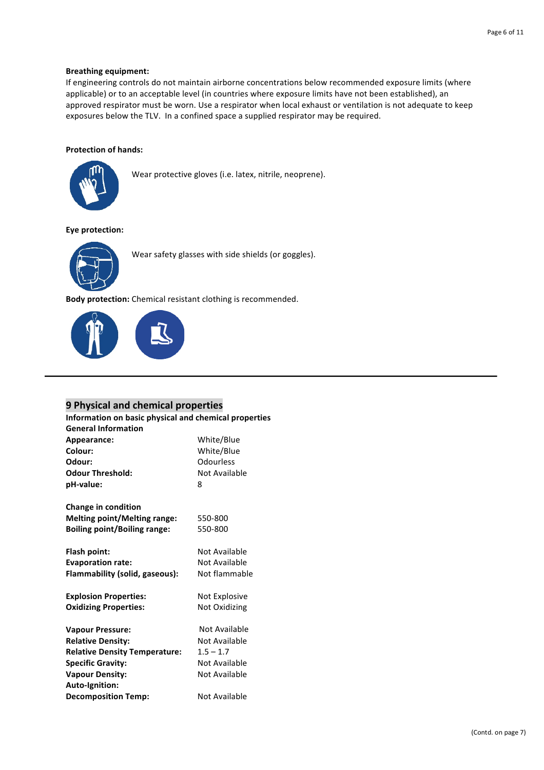## **Breathing equipment:**

If engineering controls do not maintain airborne concentrations below recommended exposure limits (where applicable) or to an acceptable level (in countries where exposure limits have not been established), an approved respirator must be worn. Use a respirator when local exhaust or ventilation is not adequate to keep exposures below the TLV. In a confined space a supplied respirator may be required.

## **Protection of hands:**



Wear protective gloves (i.e. latex, nitrile, neoprene).

#### **Eye protection:**



Wear safety glasses with side shields (or goggles).

**Body protection:** Chemical resistant clothing is recommended.



# **9 Physical and chemical properties**

**Information on basic physical and chemical properties General Information**

| Appearance:                          | White/Blue    |
|--------------------------------------|---------------|
| Colour:                              | White/Blue    |
| Odour:                               | Odourless     |
| <b>Odour Threshold:</b>              | Not Available |
| pH-value:                            | 8             |
| <b>Change in condition</b>           |               |
| <b>Melting point/Melting range:</b>  | 550-800       |
| <b>Boiling point/Boiling range:</b>  | 550-800       |
| Flash point:                         | Not Available |
| <b>Evaporation rate:</b>             | Not Available |
| Flammability (solid, gaseous):       | Not flammable |
| <b>Explosion Properties:</b>         | Not Explosive |
| <b>Oxidizing Properties:</b>         | Not Oxidizing |
| <b>Vapour Pressure:</b>              | Not Available |
| <b>Relative Density:</b>             | Not Available |
| <b>Relative Density Temperature:</b> | $1.5 - 1.7$   |
| <b>Specific Gravity:</b>             | Not Available |
| <b>Vapour Density:</b>               | Not Available |
| Auto-Ignition:                       |               |
| <b>Decomposition Temp:</b>           | Not Available |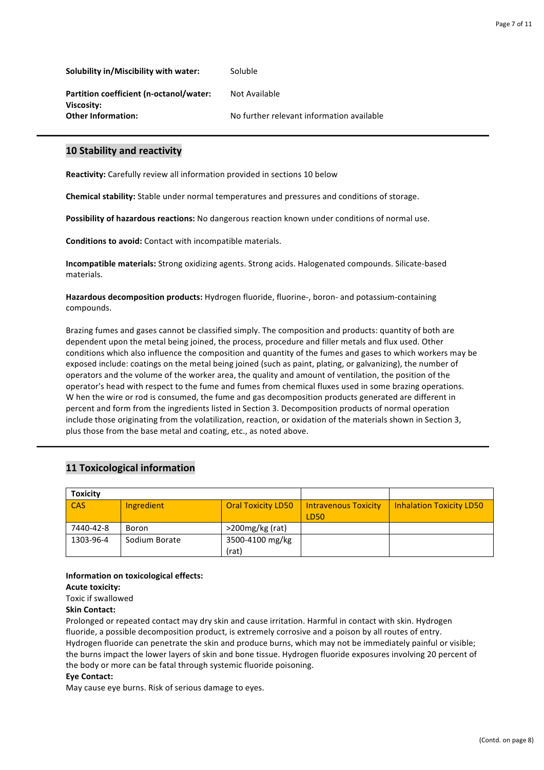**Solubility in/Miscibility with water:** Soluble

**Partition coefficient (n-octanol/water:** Not Available **Viscosity: Other Information:** No further relevant information available

# **10 Stability and reactivity**

**Reactivity:** Carefully review all information provided in sections 10 below

**Chemical stability:** Stable under normal temperatures and pressures and conditions of storage.

**Possibility of hazardous reactions:** No dangerous reaction known under conditions of normal use.

**Conditions to avoid:** Contact with incompatible materials.

**Incompatible materials:** Strong oxidizing agents. Strong acids. Halogenated compounds. Silicate-based materials.

Hazardous decomposition products: Hydrogen fluoride, fluorine-, boron- and potassium-containing compounds.

Brazing fumes and gases cannot be classified simply. The composition and products: quantity of both are dependent upon the metal being joined, the process, procedure and filler metals and flux used. Other conditions which also influence the composition and quantity of the fumes and gases to which workers may be exposed include: coatings on the metal being joined (such as paint, plating, or galvanizing), the number of operators and the volume of the worker area, the quality and amount of ventilation, the position of the operator's head with respect to the fume and fumes from chemical fluxes used in some brazing operations. W hen the wire or rod is consumed, the fume and gas decomposition products generated are different in percent and form from the ingredients listed in Section 3. Decomposition products of normal operation include those originating from the volatilization, reaction, or oxidation of the materials shown in Section 3, plus those from the base metal and coating, etc., as noted above.

# **11 Toxicological information**

| <b>Toxicity</b> |               |                           |                             |                                 |
|-----------------|---------------|---------------------------|-----------------------------|---------------------------------|
| <b>CAS</b>      | Ingredient    | <b>Oral Toxicity LD50</b> | <b>Intravenous Toxicity</b> | <b>Inhalation Toxicity LD50</b> |
|                 |               |                           | LD <sub>50</sub>            |                                 |
| 7440-42-8       | Boron         | >200mg/kg (rat)           |                             |                                 |
| 1303-96-4       | Sodium Borate | 3500-4100 mg/kg           |                             |                                 |
|                 |               | (rat)                     |                             |                                 |

#### **Information on toxicological effects:**

#### **Acute toxicity:**

Toxic if swallowed

#### **Skin Contact:**

Prolonged or repeated contact may dry skin and cause irritation. Harmful in contact with skin. Hydrogen fluoride, a possible decomposition product, is extremely corrosive and a poison by all routes of entry. Hydrogen fluoride can penetrate the skin and produce burns, which may not be immediately painful or visible; the burns impact the lower layers of skin and bone tissue. Hydrogen fluoride exposures involving 20 percent of the body or more can be fatal through systemic fluoride poisoning.

#### **Eye Contact:**

May cause eye burns. Risk of serious damage to eyes.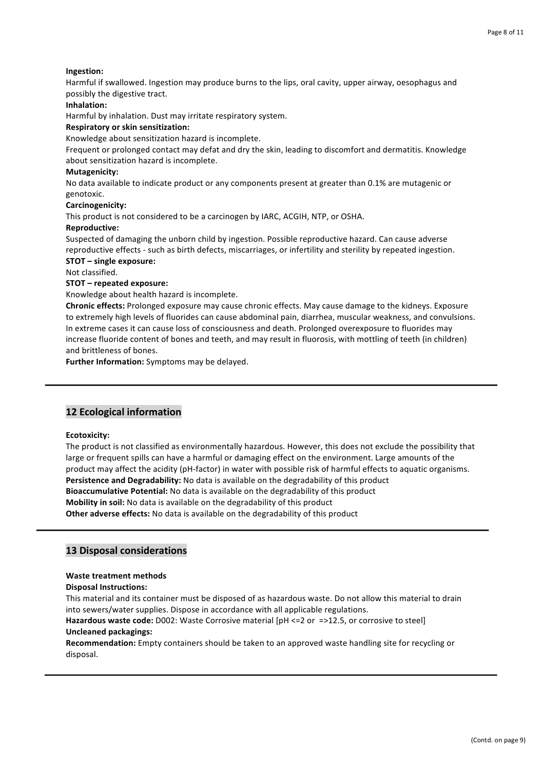## **Ingestion:**

Harmful if swallowed. Ingestion may produce burns to the lips, oral cavity, upper airway, oesophagus and possibly the digestive tract.

## **Inhalation:**

Harmful by inhalation. Dust may irritate respiratory system.

## **Respiratory or skin sensitization:**

Knowledge about sensitization hazard is incomplete.

Frequent or prolonged contact may defat and dry the skin, leading to discomfort and dermatitis. Knowledge about sensitization hazard is incomplete.

#### **Mutagenicity:**

No data available to indicate product or any components present at greater than 0.1% are mutagenic or genotoxic. 

#### **Carcinogenicity:**

This product is not considered to be a carcinogen by IARC, ACGIH, NTP, or OSHA.

#### **Reproductive:**

Suspected of damaging the unborn child by ingestion. Possible reproductive hazard. Can cause adverse reproductive effects - such as birth defects, miscarriages, or infertility and sterility by repeated ingestion. **STOT** – single exposure:

Not classified.

## **STOT** – repeated exposure:

Knowledge about health hazard is incomplete.

**Chronic effects:** Prolonged exposure may cause chronic effects. May cause damage to the kidneys. Exposure to extremely high levels of fluorides can cause abdominal pain, diarrhea, muscular weakness, and convulsions. In extreme cases it can cause loss of consciousness and death. Prolonged overexposure to fluorides may increase fluoride content of bones and teeth, and may result in fluorosis, with mottling of teeth (in children) and brittleness of bones.

**Further Information:** Symptoms may be delayed.

# **12 Ecological information**

#### **Ecotoxicity:**

The product is not classified as environmentally hazardous. However, this does not exclude the possibility that large or frequent spills can have a harmful or damaging effect on the environment. Large amounts of the product may affect the acidity (pH-factor) in water with possible risk of harmful effects to aquatic organisms. **Persistence and Degradability:** No data is available on the degradability of this product **Bioaccumulative Potential:** No data is available on the degradability of this product **Mobility in soil:** No data is available on the degradability of this product **Other adverse effects:** No data is available on the degradability of this product

## **13 Disposal considerations**

#### **Waste treatment methods**

#### **Disposal Instructions:**

This material and its container must be disposed of as hazardous waste. Do not allow this material to drain into sewers/water supplies. Dispose in accordance with all applicable regulations.

**Hazardous waste code:** D002: Waste Corrosive material [pH <= 2 or =>12.5, or corrosive to steel]

# **Uncleaned packagings:**

Recommendation: Empty containers should be taken to an approved waste handling site for recycling or disposal.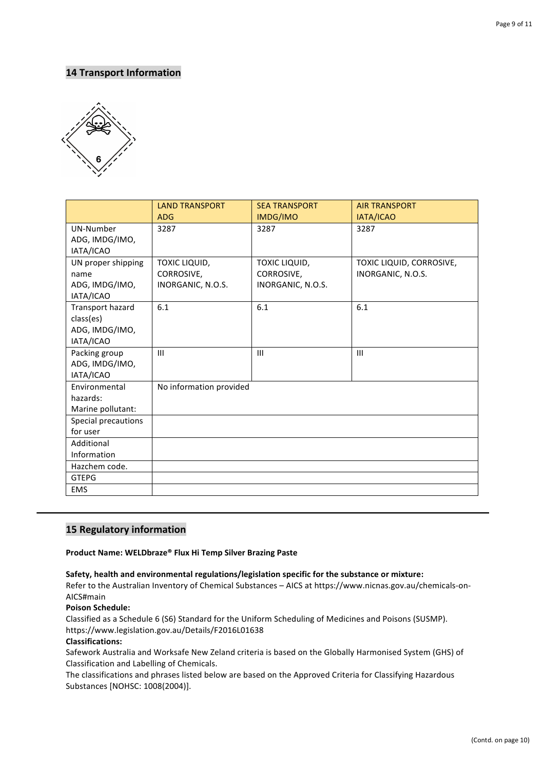# **14 Transport Information**



|                                                              | <b>LAND TRANSPORT</b><br><b>ADG</b>              | <b>SEA TRANSPORT</b><br>IMDG/IMO                 | <b>AIR TRANSPORT</b><br>IATA/ICAO             |
|--------------------------------------------------------------|--------------------------------------------------|--------------------------------------------------|-----------------------------------------------|
| UN-Number<br>ADG, IMDG/IMO,<br>IATA/ICAO                     | 3287                                             | 3287                                             | 3287                                          |
| UN proper shipping<br>name<br>ADG, IMDG/IMO,<br>IATA/ICAO    | TOXIC LIQUID,<br>CORROSIVE,<br>INORGANIC, N.O.S. | TOXIC LIQUID,<br>CORROSIVE,<br>INORGANIC, N.O.S. | TOXIC LIQUID, CORROSIVE,<br>INORGANIC, N.O.S. |
| Transport hazard<br>class(es)<br>ADG, IMDG/IMO,<br>IATA/ICAO | 6.1                                              | 6.1                                              | 6.1                                           |
| Packing group<br>ADG, IMDG/IMO,<br>IATA/ICAO                 | III                                              | III                                              | III                                           |
| Environmental<br>hazards:<br>Marine pollutant:               | No information provided                          |                                                  |                                               |
| Special precautions<br>for user                              |                                                  |                                                  |                                               |
| Additional<br>Information                                    |                                                  |                                                  |                                               |
| Hazchem code.<br><b>GTEPG</b>                                |                                                  |                                                  |                                               |
| <b>EMS</b>                                                   |                                                  |                                                  |                                               |

# **15 Regulatory information**

## **Product Name: WELDbraze® Flux Hi Temp Silver Brazing Paste**

## **Safety, health and environmental regulations/legislation specific for the substance or mixture:**

Refer to the Australian Inventory of Chemical Substances – AICS at https://www.nicnas.gov.au/chemicals-on-AICS#main

**Poison Schedule:**

Classified as a Schedule 6 (S6) Standard for the Uniform Scheduling of Medicines and Poisons (SUSMP). https://www.legislation.gov.au/Details/F2016L01638

#### **Classifications:**

Safework Australia and Worksafe New Zeland criteria is based on the Globally Harmonised System (GHS) of Classification and Labelling of Chemicals. 

The classifications and phrases listed below are based on the Approved Criteria for Classifying Hazardous Substances [NOHSC: 1008(2004)].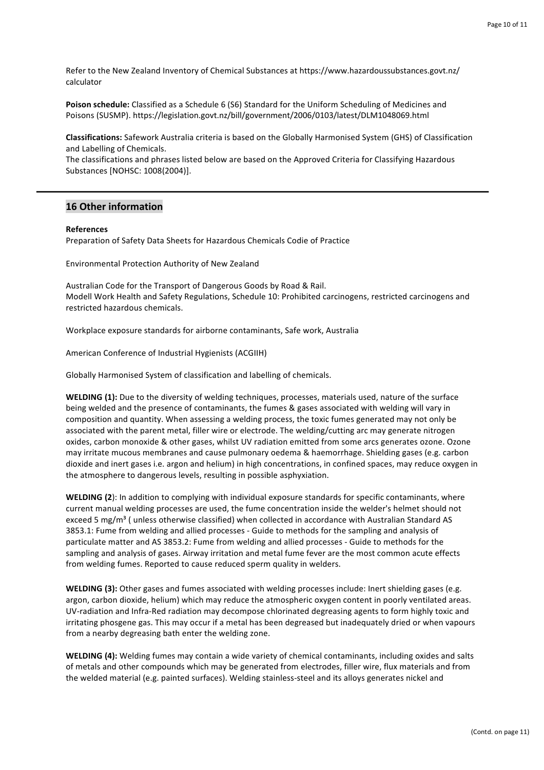Refer to the New Zealand Inventory of Chemical Substances at https://www.hazardoussubstances.govt.nz/ calculator

**Poison schedule:** Classified as a Schedule 6 (S6) Standard for the Uniform Scheduling of Medicines and Poisons (SUSMP). https://legislation.govt.nz/bill/government/2006/0103/latest/DLM1048069.html

**Classifications:** Safework Australia criteria is based on the Globally Harmonised System (GHS) of Classification and Labelling of Chemicals. 

The classifications and phrases listed below are based on the Approved Criteria for Classifying Hazardous Substances [NOHSC: 1008(2004)].

## **16 Other information**

#### **References**

Preparation of Safety Data Sheets for Hazardous Chemicals Codie of Practice

Environmental Protection Authority of New Zealand

Australian Code for the Transport of Dangerous Goods by Road & Rail. Modell Work Health and Safety Regulations, Schedule 10: Prohibited carcinogens, restricted carcinogens and restricted hazardous chemicals.

Workplace exposure standards for airborne contaminants, Safe work, Australia

American Conference of Industrial Hygienists (ACGIIH)

Globally Harmonised System of classification and labelling of chemicals.

WELDING (1): Due to the diversity of welding techniques, processes, materials used, nature of the surface being welded and the presence of contaminants, the fumes & gases associated with welding will vary in composition and quantity. When assessing a welding process, the toxic fumes generated may not only be associated with the parent metal, filler wire or electrode. The welding/cutting arc may generate nitrogen oxides, carbon monoxide & other gases, whilst UV radiation emitted from some arcs generates ozone. Ozone may irritate mucous membranes and cause pulmonary oedema & haemorrhage. Shielding gases (e.g. carbon dioxide and inert gases i.e. argon and helium) in high concentrations, in confined spaces, may reduce oxygen in the atmosphere to dangerous levels, resulting in possible asphyxiation.

**WELDING (2):** In addition to complying with individual exposure standards for specific contaminants, where current manual welding processes are used, the fume concentration inside the welder's helmet should not exceed 5 mg/m<sup>3</sup> ( unless otherwise classified) when collected in accordance with Australian Standard AS 3853.1: Fume from welding and allied processes - Guide to methods for the sampling and analysis of particulate matter and AS 3853.2: Fume from welding and allied processes - Guide to methods for the sampling and analysis of gases. Airway irritation and metal fume fever are the most common acute effects from welding fumes. Reported to cause reduced sperm quality in welders.

**WELDING (3):** Other gases and fumes associated with welding processes include: Inert shielding gases (e.g. argon, carbon dioxide, helium) which may reduce the atmospheric oxygen content in poorly ventilated areas. UV-radiation and Infra-Red radiation may decompose chlorinated degreasing agents to form highly toxic and irritating phosgene gas. This may occur if a metal has been degreased but inadequately dried or when vapours from a nearby degreasing bath enter the welding zone.

**WELDING (4):** Welding fumes may contain a wide variety of chemical contaminants, including oxides and salts of metals and other compounds which may be generated from electrodes, filler wire, flux materials and from the welded material (e.g. painted surfaces). Welding stainless-steel and its alloys generates nickel and